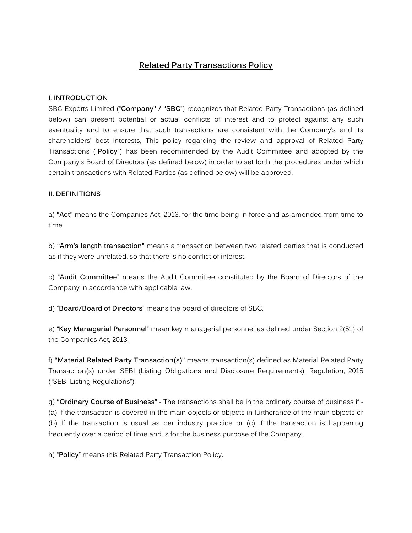# **Related Party Transactions Policy**

#### **I. INTRODUCTION**

SBC Exports Limited ("**Company" / "SBC**") recognizes that Related Party Transactions (as defined below) can present potential or actual conflicts of interest and to protect against any such eventuality and to ensure that such transactions are consistent with the Company's and its shareholders' best interests, This policy regarding the review and approval of Related Party Transactions ("**Policy**") has been recommended by the Audit Committee and adopted by the Company's Board of Directors (as defined below) in order to set forth the procedures under which certain transactions with Related Parties (as defined below) will be approved.

#### **II. DEFINITIONS**

a) **"Act"** means the Companies Act, 2013, for the time being in force and as amended from time to time.

b) **"Arm's length transaction"** means a transaction between two related parties that is conducted as if they were unrelated, so that there is no conflict of interest.

c) "**Audit Committee**" means the Audit Committee constituted by the Board of Directors of the Company in accordance with applicable law.

d) "**Board/Board of Directors**" means the board of directors of SBC.

e) "**Key Managerial Personnel**" mean key managerial personnel as defined under Section 2(51) of the Companies Act, 2013.

f) **"Material Related Party Transaction(s)"** means transaction(s) defined as Material Related Party Transaction(s) under SEBI (Listing Obligations and Disclosure Requirements), Regulation, 2015 ("SEBI Listing Regulations").

g) **"Ordinary Course of Business"** - The transactions shall be in the ordinary course of business if - (a) If the transaction is covered in the main objects or objects in furtherance of the main objects or (b) If the transaction is usual as per industry practice or (c) If the transaction is happening frequently over a period of time and is for the business purpose of the Company.

h) "**Policy**" means this Related Party Transaction Policy.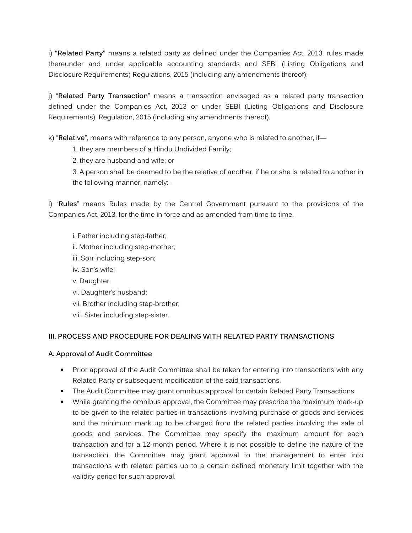i) **"Related Party"** means a related party as defined under the Companies Act, 2013, rules made thereunder and under applicable accounting standards and SEBI (Listing Obligations and Disclosure Requirements) Regulations, 2015 (including any amendments thereof).

j) "**Related Party Transaction**" means a transaction envisaged as a related party transaction defined under the Companies Act, 2013 or under SEBI (Listing Obligations and Disclosure Requirements), Regulation, 2015 (including any amendments thereof).

k) "**Relative**", means with reference to any person, anyone who is related to another, if—

1. they are members of a Hindu Undivided Family;

2. they are husband and wife; or

3. A person shall be deemed to be the relative of another, if he or she is related to another in the following manner, namely: -

l) "**Rules**" means Rules made by the Central Government pursuant to the provisions of the Companies Act, 2013, for the time in force and as amended from time to time.

- i. Father including step-father;
- ii. Mother including step-mother;
- iii. Son including step-son;
- iv. Son's wife;
- v. Daughter;
- vi. Daughter's husband;
- vii. Brother including step-brother;
- viii. Sister including step-sister.

#### **III. PROCESS AND PROCEDURE FOR DEALING WITH RELATED PARTY TRANSACTIONS**

#### **A. Approval of Audit Committee**

- Prior approval of the Audit Committee shall be taken for entering into transactions with any Related Party or subsequent modification of the said transactions.
- The Audit Committee may grant omnibus approval for certain Related Party Transactions.
- While granting the omnibus approval, the Committee may prescribe the maximum mark-up to be given to the related parties in transactions involving purchase of goods and services and the minimum mark up to be charged from the related parties involving the sale of goods and services. The Committee may specify the maximum amount for each transaction and for a 12-month period. Where it is not possible to define the nature of the transaction, the Committee may grant approval to the management to enter into transactions with related parties up to a certain defined monetary limit together with the validity period for such approval.